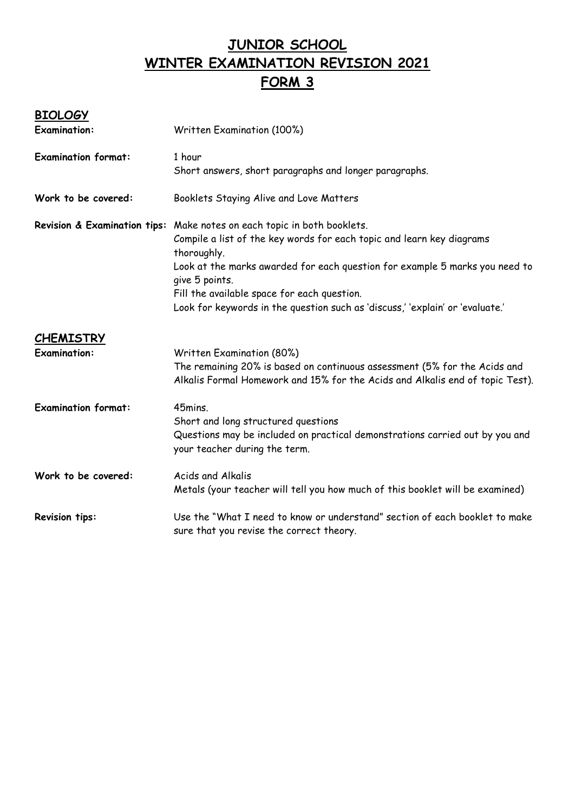# **JUNIOR SCHOOL WINTER EXAMINATION REVISION 2021 FORM 3**

## **BIOLOGY**

| <b>Examination:</b>                     | Written Examination (100%)                                                                                                                                                                                                                                                                                                                                                                       |  |  |
|-----------------------------------------|--------------------------------------------------------------------------------------------------------------------------------------------------------------------------------------------------------------------------------------------------------------------------------------------------------------------------------------------------------------------------------------------------|--|--|
| <b>Examination format:</b>              | 1 hour<br>Short answers, short paragraphs and longer paragraphs.                                                                                                                                                                                                                                                                                                                                 |  |  |
| Work to be covered:                     | Booklets Staying Alive and Love Matters                                                                                                                                                                                                                                                                                                                                                          |  |  |
|                                         | Revision & Examination tips: Make notes on each topic in both booklets.<br>Compile a list of the key words for each topic and learn key diagrams<br>thoroughly.<br>Look at the marks awarded for each question for example 5 marks you need to<br>give 5 points.<br>Fill the available space for each question.<br>Look for keywords in the question such as 'discuss,' 'explain' or 'evaluate.' |  |  |
| <b>CHEMISTRY</b><br><b>Examination:</b> | Written Examination (80%)<br>The remaining 20% is based on continuous assessment (5% for the Acids and<br>Alkalis Formal Homework and 15% for the Acids and Alkalis end of topic Test).                                                                                                                                                                                                          |  |  |
| <b>Examination format:</b>              | 45mins.<br>Short and long structured questions<br>Questions may be included on practical demonstrations carried out by you and<br>your teacher during the term.                                                                                                                                                                                                                                  |  |  |
| Work to be covered:                     | <b>Acids and Alkalis</b><br>Metals (your teacher will tell you how much of this booklet will be examined)                                                                                                                                                                                                                                                                                        |  |  |
| <b>Revision tips:</b>                   | Use the "What I need to know or understand" section of each booklet to make<br>sure that you revise the correct theory.                                                                                                                                                                                                                                                                          |  |  |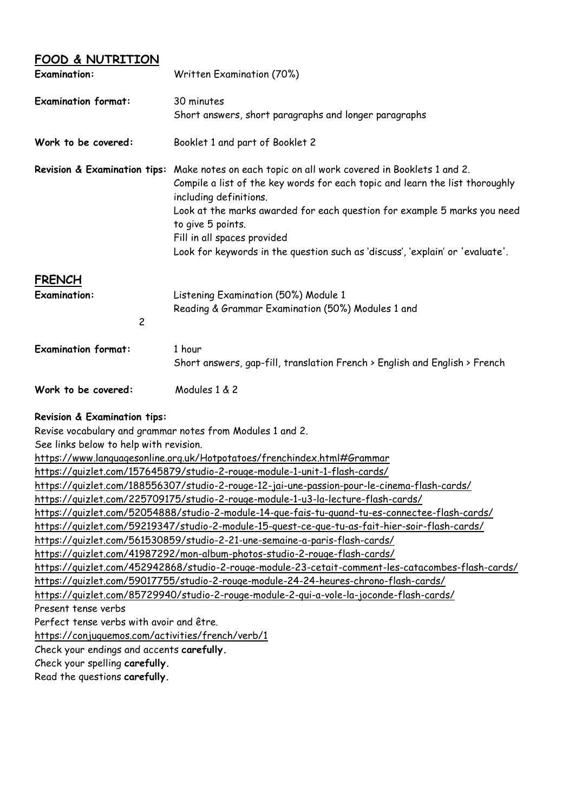#### **FOOD & NUTRITION**

| <b>Examination:</b>                                    | Written Examination (70%)                                                                                                                                                                                                                                                                                                                                                                    |  |  |
|--------------------------------------------------------|----------------------------------------------------------------------------------------------------------------------------------------------------------------------------------------------------------------------------------------------------------------------------------------------------------------------------------------------------------------------------------------------|--|--|
| <b>Examination format:</b>                             | 30 minutes<br>Short answers, short paragraphs and longer paragraphs<br>Booklet 1 and part of Booklet 2                                                                                                                                                                                                                                                                                       |  |  |
| Work to be covered:                                    |                                                                                                                                                                                                                                                                                                                                                                                              |  |  |
| Revision & Examination tips:                           | Make notes on each topic on all work covered in Booklets 1 and 2.<br>Compile a list of the key words for each topic and learn the list thoroughly<br>including definitions.<br>Look at the marks awarded for each question for example 5 marks you need<br>to give 5 points.<br>Fill in all spaces provided<br>Look for keywords in the question such as 'discuss', 'explain' or 'evaluate'. |  |  |
| <b>FRENCH</b><br><b>Examination:</b><br>$\overline{c}$ | Listening Examination (50%) Module 1<br>Reading & Grammar Examination (50%) Modules 1 and                                                                                                                                                                                                                                                                                                    |  |  |
| <b>Examination format:</b>                             | 1 hour<br>Short answers, gap-fill, translation French > English and English > French                                                                                                                                                                                                                                                                                                         |  |  |
| Work to be covered:                                    | Modules 1 & 2                                                                                                                                                                                                                                                                                                                                                                                |  |  |

#### **Revision & Examination tips:**

Revise vocabulary and grammar notes from Modules 1 and 2.

See links below to help with revision.

<https://www.languagesonline.org.uk/Hotpotatoes/frenchindex.html#Grammar>

<https://quizlet.com/157645879/studio-2-rouge-module-1-unit-1-flash-cards/>

<https://quizlet.com/188556307/studio-2-rouge-12-jai-une-passion-pour-le-cinema-flash-cards/>

<https://quizlet.com/225709175/studio-2-rouge-module-1-u3-la-lecture-flash-cards/>

<https://quizlet.com/52054888/studio-2-module-14-que-fais-tu-quand-tu-es-connectee-flash-cards/>

<https://quizlet.com/59219347/studio-2-module-15-quest-ce-que-tu-as-fait-hier-soir-flash-cards/>

<https://quizlet.com/561530859/studio-2-21-une-semaine-a-paris-flash-cards/>

<https://quizlet.com/41987292/mon-album-photos-studio-2-rouge-flash-cards/>

<https://quizlet.com/452942868/studio-2-rouge-module-23-cetait-comment-les-catacombes-flash-cards/> <https://quizlet.com/59017755/studio-2-rouge-module-24-24-heures-chrono-flash-cards/>

<https://quizlet.com/85729940/studio-2-rouge-module-2-qui-a-vole-la-joconde-flash-cards/>

Present tense verbs

Perfect tense verbs with avoir and être.

<https://conjuguemos.com/activities/french/verb/1>

Check your endings and accents **carefully.**

Check your spelling **carefully.**

Read the questions **carefully.**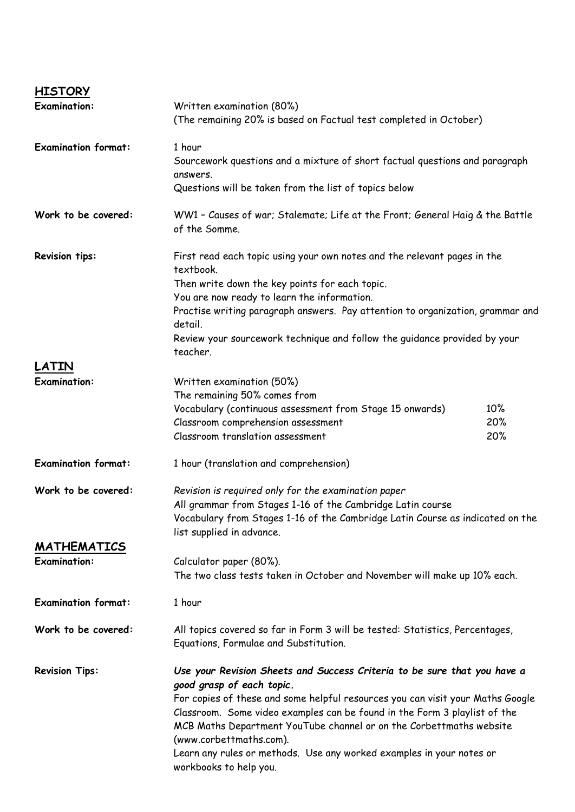| <b>HISTORY</b>             |                                                                                                                                                  |     |  |
|----------------------------|--------------------------------------------------------------------------------------------------------------------------------------------------|-----|--|
| <b>Examination:</b>        | Written examination (80%)                                                                                                                        |     |  |
|                            | (The remaining 20% is based on Factual test completed in October)                                                                                |     |  |
| <b>Examination format:</b> | 1 hour                                                                                                                                           |     |  |
|                            | Sourcework questions and a mixture of short factual questions and paragraph                                                                      |     |  |
|                            | answers.<br>Questions will be taken from the list of topics below                                                                                |     |  |
| Work to be covered:        |                                                                                                                                                  |     |  |
|                            | WW1 - Causes of war; Stalemate; Life at the Front; General Haig & the Battle<br>of the Somme.                                                    |     |  |
| <b>Revision tips:</b>      | First read each topic using your own notes and the relevant pages in the<br>textbook.                                                            |     |  |
|                            | Then write down the key points for each topic.                                                                                                   |     |  |
|                            | You are now ready to learn the information.                                                                                                      |     |  |
|                            | Practise writing paragraph answers. Pay attention to organization, grammar and<br>detail.                                                        |     |  |
|                            | Review your sourcework technique and follow the quidance provided by your<br>teacher.                                                            |     |  |
| LATIN                      |                                                                                                                                                  |     |  |
| <b>Examination:</b>        | Written examination (50%)                                                                                                                        |     |  |
|                            | The remaining 50% comes from                                                                                                                     |     |  |
|                            | Vocabulary (continuous assessment from Stage 15 onwards)                                                                                         | 10% |  |
|                            | Classroom comprehension assessment                                                                                                               | 20% |  |
|                            | Classroom translation assessment                                                                                                                 | 20% |  |
| <b>Examination format:</b> | 1 hour (translation and comprehension)                                                                                                           |     |  |
| Work to be covered:        | Revision is required only for the examination paper                                                                                              |     |  |
|                            | All grammar from Stages 1-16 of the Cambridge Latin course                                                                                       |     |  |
|                            | Vocabulary from Stages 1-16 of the Cambridge Latin Course as indicated on the<br>list supplied in advance.                                       |     |  |
| <b>MATHEMATICS</b>         |                                                                                                                                                  |     |  |
| <b>Examination:</b>        | Calculator paper (80%).                                                                                                                          |     |  |
|                            | The two class tests taken in October and November will make up 10% each.                                                                         |     |  |
| <b>Examination format:</b> | 1 hour                                                                                                                                           |     |  |
| Work to be covered:        | All topics covered so far in Form 3 will be tested: Statistics, Percentages,<br>Equations, Formulae and Substitution.                            |     |  |
| <b>Revision Tips:</b>      | Use your Revision Sheets and Success Criteria to be sure that you have a<br>good grasp of each topic.                                            |     |  |
|                            | For copies of these and some helpful resources you can visit your Maths Google                                                                   |     |  |
|                            | Classroom. Some video examples can be found in the Form 3 playlist of the<br>MCB Maths Department YouTube channel or on the Corbettmaths website |     |  |
|                            | (www.corbettmaths.com).                                                                                                                          |     |  |
|                            | Learn any rules or methods. Use any worked examples in your notes or<br>workbooks to help you.                                                   |     |  |